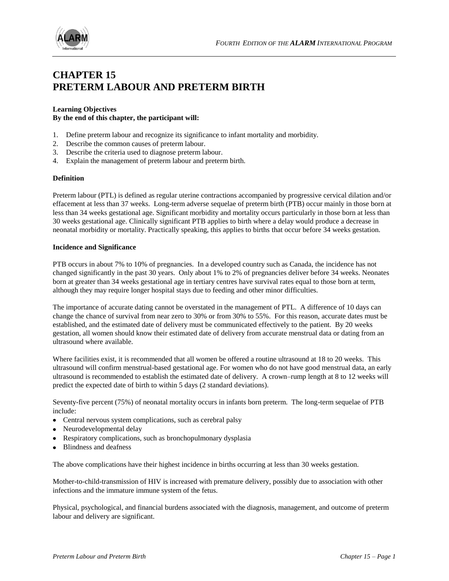

# **CHAPTER 15 PRETERM LABOUR AND PRETERM BIRTH**

#### **Learning Objectives By the end of this chapter, the participant will:**

- 1. Define preterm labour and recognize its significance to infant mortality and morbidity.
- 2. Describe the common causes of preterm labour.
- 3. Describe the criteria used to diagnose preterm labour.
- 4. Explain the management of preterm labour and preterm birth.

#### **Definition**

Preterm labour (PTL) is defined as regular uterine contractions accompanied by progressive cervical dilation and/or effacement at less than 37 weeks. Long-term adverse sequelae of preterm birth (PTB) occur mainly in those born at less than 34 weeks gestational age. Significant morbidity and mortality occurs particularly in those born at less than 30 weeks gestational age. Clinically significant PTB applies to birth where a delay would produce a decrease in neonatal morbidity or mortality. Practically speaking, this applies to births that occur before 34 weeks gestation.

#### **Incidence and Significance**

PTB occurs in about 7% to 10% of pregnancies. In a developed country such as Canada, the incidence has not changed significantly in the past 30 years. Only about 1% to 2% of pregnancies deliver before 34 weeks. Neonates born at greater than 34 weeks gestational age in tertiary centres have survival rates equal to those born at term, although they may require longer hospital stays due to feeding and other minor difficulties.

The importance of accurate dating cannot be overstated in the management of PTL. A difference of 10 days can change the chance of survival from near zero to 30% or from 30% to 55%. For this reason, accurate dates must be established, and the estimated date of delivery must be communicated effectively to the patient. By 20 weeks gestation, all women should know their estimated date of delivery from accurate menstrual data or dating from an ultrasound where available.

Where facilities exist, it is recommended that all women be offered a routine ultrasound at 18 to 20 weeks. This ultrasound will confirm menstrual-based gestational age. For women who do not have good menstrual data, an early ultrasound is recommended to establish the estimated date of delivery. A crown–rump length at 8 to 12 weeks will predict the expected date of birth to within 5 days (2 standard deviations).

Seventy-five percent (75%) of neonatal mortality occurs in infants born preterm. The long-term sequelae of PTB include:

- Central nervous system complications, such as cerebral palsy
- Neurodevelopmental delay
- Respiratory complications, such as bronchopulmonary dysplasia
- Blindness and deafness

The above complications have their highest incidence in births occurring at less than 30 weeks gestation.

Mother-to-child-transmission of HIV is increased with premature delivery, possibly due to association with other infections and the immature immune system of the fetus.

Physical, psychological, and financial burdens associated with the diagnosis, management, and outcome of preterm labour and delivery are significant.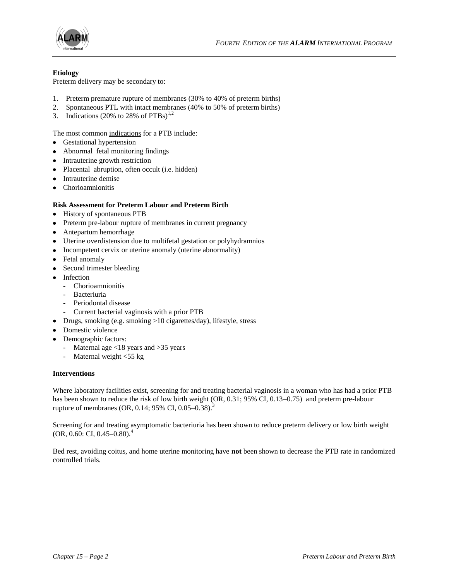



## **Etiology**

Preterm delivery may be secondary to:

- 1. Preterm premature rupture of membranes (30% to 40% of preterm births)
- 2. Spontaneous PTL with intact membranes (40% to 50% of preterm births)
- 3. Indications (20% to 28% of  $PTBs$ )<sup>1,2</sup>

The most common indications for a PTB include:

- Gestational hypertension
- Abnormal fetal monitoring findings
- Intrauterine growth restriction
- Placental abruption, often occult (i.e. hidden)
- Intrauterine demise
- Chorioamnionitis

#### **Risk Assessment for Preterm Labour and Preterm Birth**

- History of spontaneous PTB
- Preterm pre-labour rupture of membranes in current pregnancy
- Antepartum hemorrhage
- Uterine overdistension due to multifetal gestation or polyhydramnios
- Incompetent cervix or uterine anomaly (uterine abnormality)
- Fetal anomaly
- Second trimester bleeding
- Infection
	- Chorioamnionitis
	- Bacteriuria
	- Periodontal disease
	- Current bacterial vaginosis with a prior PTB
- Drugs, smoking (e.g. smoking >10 cigarettes/day), lifestyle, stress
- Domestic violence
- Demographic factors:
	- Maternal age <18 years and >35 years
	- Maternal weight <55 kg

#### **Interventions**

Where laboratory facilities exist, screening for and treating bacterial vaginosis in a woman who has had a prior PTB has been shown to reduce the risk of low birth weight (OR, 0.31; 95% CI, 0.13–0.75) and preterm pre-labour rupture of membranes (OR, 0.14; 95% CI, 0.05–0.38).<sup>3</sup>

Screening for and treating asymptomatic bacteriuria has been shown to reduce preterm delivery or low birth weight (OR, 0.60: CI, 0.45–0.80). 4

Bed rest, avoiding coitus, and home uterine monitoring have **not** been shown to decrease the PTB rate in randomized controlled trials.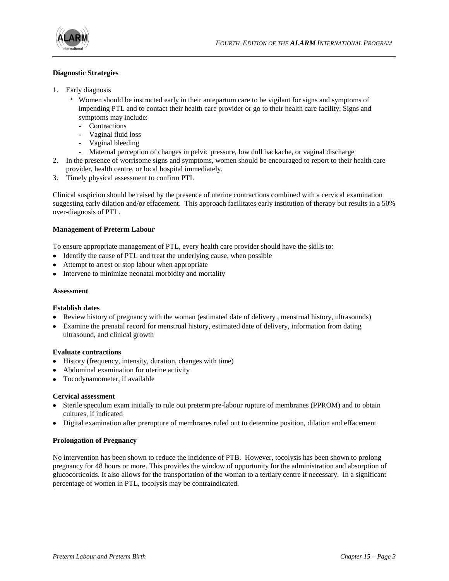

## **Diagnostic Strategies**

- 1. Early diagnosis
	- · Women should be instructed early in their antepartum care to be vigilant for signs and symptoms of impending PTL and to contact their health care provider or go to their health care facility. Signs and symptoms may include:
		- Contractions
		- Vaginal fluid loss
		- Vaginal bleeding
		- Maternal perception of changes in pelvic pressure, low dull backache, or vaginal discharge
- 2. In the presence of worrisome signs and symptoms, women should be encouraged to report to their health care provider, health centre, or local hospital immediately.
- 3. Timely physical assessment to confirm PTL

Clinical suspicion should be raised by the presence of uterine contractions combined with a cervical examination suggesting early dilation and/or effacement. This approach facilitates early institution of therapy but results in a 50% over-diagnosis of PTL.

## **Management of Preterm Labour**

To ensure appropriate management of PTL, every health care provider should have the skills to:

- Identify the cause of PTL and treat the underlying cause, when possible
- Attempt to arrest or stop labour when appropriate
- Intervene to minimize neonatal morbidity and mortality

#### **Assessment**

## **Establish dates**

- Review history of pregnancy with the woman (estimated date of delivery, menstrual history, ultrasounds)
- Examine the prenatal record for menstrual history, estimated date of delivery, information from dating ultrasound, and clinical growth

## **Evaluate contractions**

- History (frequency, intensity, duration, changes with time)
- Abdominal examination for uterine activity
- Tocodynamometer, if available

## **Cervical assessment**

- Sterile speculum exam initially to rule out preterm pre-labour rupture of membranes (PPROM) and to obtain cultures, if indicated
- Digital examination after prerupture of membranes ruled out to determine position, dilation and effacement

## **Prolongation of Pregnancy**

No intervention has been shown to reduce the incidence of PTB. However, tocolysis has been shown to prolong pregnancy for 48 hours or more. This provides the window of opportunity for the administration and absorption of glucocorticoids. It also allows for the transportation of the woman to a tertiary centre if necessary. In a significant percentage of women in PTL, tocolysis may be contraindicated.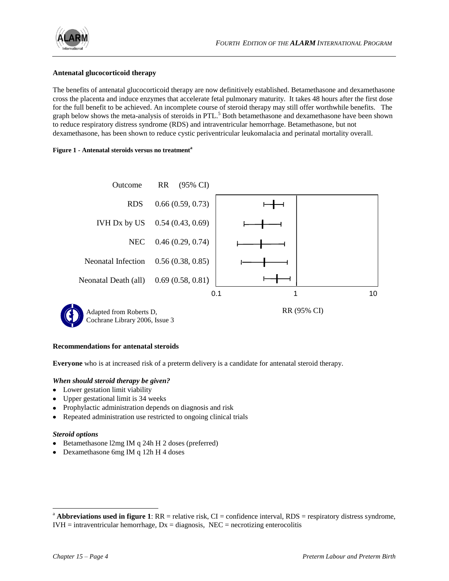

## **Antenatal glucocorticoid therapy**

The benefits of antenatal glucocorticoid therapy are now definitively established. Betamethasone and dexamethasone cross the placenta and induce enzymes that accelerate fetal pulmonary maturity. It takes 48 hours after the first dose for the full benefit to be achieved. An incomplete course of steroid therapy may still offer worthwhile benefits. The graph below shows the meta-analysis of steroids in PTL.<sup>5</sup> Both betamethasone and dexamethasone have been shown to reduce respiratory distress syndrome (RDS) and intraventricular hemorrhage. Betamethasone, but not dexamethasone, has been shown to reduce cystic periventricular leukomalacia and perinatal mortality overall.

#### **Figure 1 - Antenatal steroids versus no treatment<sup>a</sup>**



#### **Recommendations for antenatal steroids**

**Everyone** who is at increased risk of a preterm delivery is a candidate for antenatal steroid therapy.

## *When should steroid therapy be given?*

- Lower gestation limit viability
- Upper gestational limit is 34 weeks
- Prophylactic administration depends on diagnosis and risk
- Repeated administration use restricted to ongoing clinical trials  $\bullet$

## *Steroid options*

l

- Betamethasone l2mg IM q 24h H 2 doses (preferred)
- $\bullet$  Dexamethasone 6mg IM q 12h H 4 doses

 $^{\circ}$  **Abbreviations used in figure 1**: RR = relative risk, CI = confidence interval, RDS = respiratory distress syndrome,  $IVH =$  intraventricular hemorrhage,  $Dx =$  diagnosis,  $NEC =$  necrotizing enterocolitis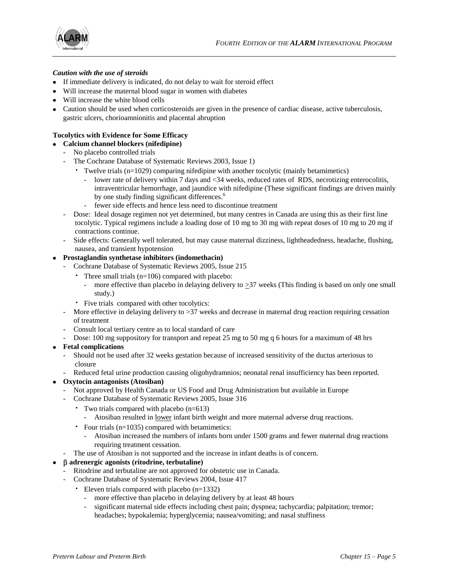

## *Caution with the use of steroids*

- If immediate delivery is indicated, do not delay to wait for steroid effect
- Will increase the maternal blood sugar in women with diabetes
- Will increase the white blood cells
- Caution should be used when corticosteroids are given in the presence of cardiac disease, active tuberculosis, gastric ulcers, chorioamnionitis and placental abruption

# **Tocolytics with Evidence for Some Efficacy**

- **Calcium channel blockers (nifedipine)**
	- No placebo controlled trials
	- The Cochrane Database of Systematic Reviews 2003, Issue 1)
		- · Twelve trials (n=1029) comparing nifedipine with another tocolytic (mainly betamimetics)
			- lower rate of delivery within 7 days and <34 weeks, reduced rates of RDS, necrotizing enterocolitis, intraventricular hemorrhage, and jaundice with nifedipine (These significant findings are driven mainly by one study finding significant differences.<sup>6</sup>
			- fewer side effects and hence less need to discontinue treatment
	- Dose: Ideal dosage regimen not yet determined, but many centres in Canada are using this as their first line tocolytic. Typical regimens include a loading dose of 10 mg to 30 mg with repeat doses of 10 mg to 20 mg if contractions continue.
	- Side effects: Generally well tolerated, but may cause maternal dizziness, lightheadedness, headache, flushing, nausea, and transient hypotension

## **Prostaglandin synthetase inhibitors (indomethacin)**

- Cochrane Database of Systematic Reviews 2005, Issue 215
	- · Three small trials (n=106) compared with placebo:
		- more effective than placebo in delaying delivery to  $>37$  weeks (This finding is based on only one small study.)
	- · Five trials compared with other tocolytics:
- More effective in delaying delivery to >37 weeks and decrease in maternal drug reaction requiring cessation of treatment
- Consult local tertiary centre as to local standard of care
- Dose: 100 mg suppository for transport and repeat 25 mg to 50 mg q 6 hours for a maximum of 48 hrs
- **Fetal complications**
	- Should not be used after 32 weeks gestation because of increased sensitivity of the ductus arteriosus to closure
	- Reduced fetal urine production causing oligohydramnios; neonatal renal insufficiency has been reported.

# **Oxytocin antagonists (Atosiban)**

- Not approved by Health Canada or US Food and Drug Administration but available in Europe
- Cochrane Database of Systematic Reviews 2005, Issue 316
	- · Two trials compared with placebo (n=613)
		- Atosiban resulted in <u>lower</u> infant birth weight and more maternal adverse drug reactions.
	- · Four trials (n=1035) compared with betamimetics:
		- Atosiban increased the numbers of infants born under 1500 grams and fewer maternal drug reactions requiring treatment cessation.
- The use of Atosiban is not supported and the increase in infant deaths is of concern.

# **adrenergic agonists (ritodrine, terbutaline)**

- Ritodrine and terbutaline are not approved for obstetric use in Canada.
- Cochrane Database of Systematic Reviews 2004, Issue 417
	- · Eleven trials compared with placebo (n=1332)
		- more effective than placebo in delaying delivery by at least 48 hours
		- significant maternal side effects including chest pain; dyspnea; tachycardia; palpitation; tremor; headaches; hypokalemia; hyperglycemia; nausea/vomiting; and nasal stuffiness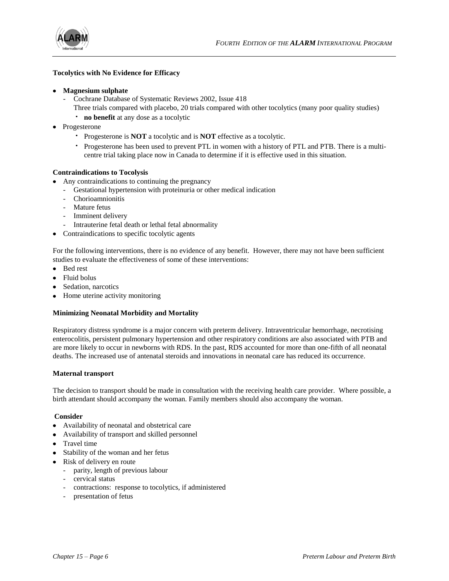

## **Tocolytics with No Evidence for Efficacy**

- **Magnesium sulphate** 
	- Cochrane Database of Systematic Reviews 2002, Issue 418
		- Three trials compared with placebo, 20 trials compared with other tocolytics (many poor quality studies)
		- · **no benefit** at any dose as a tocolytic
- Progesterone
	- · Progesterone is **NOT** a tocolytic and is **NOT** effective as a tocolytic.
	- · Progesterone has been used to prevent PTL in women with a history of PTL and PTB. There is a multicentre trial taking place now in Canada to determine if it is effective used in this situation.

#### **Contraindications to Tocolysis**

- Any contraindications to continuing the pregnancy
	- Gestational hypertension with proteinuria or other medical indication
	- Chorioamnionitis
	- Mature fetus
	- Imminent delivery
	- Intrauterine fetal death or lethal fetal abnormality
- Contraindications to specific tocolytic agents

For the following interventions, there is no evidence of any benefit. However, there may not have been sufficient studies to evaluate the effectiveness of some of these interventions:

- Bed rest
- Fluid bolus
- Sedation, narcotics
- Home uterine activity monitoring

#### **Minimizing Neonatal Morbidity and Mortality**

Respiratory distress syndrome is a major concern with preterm delivery. Intraventricular hemorrhage, necrotising enterocolitis, persistent pulmonary hypertension and other respiratory conditions are also associated with PTB and are more likely to occur in newborns with RDS. In the past, RDS accounted for more than one-fifth of all neonatal deaths. The increased use of antenatal steroids and innovations in neonatal care has reduced its occurrence.

#### **Maternal transport**

The decision to transport should be made in consultation with the receiving health care provider. Where possible, a birth attendant should accompany the woman. Family members should also accompany the woman.

#### **Consider**

- Availability of neonatal and obstetrical care
- Availability of transport and skilled personnel
- Travel time
- Stability of the woman and her fetus
- Risk of delivery en route
	- parity, length of previous labour
	- cervical status
	- contractions: response to tocolytics, if administered
	- presentation of fetus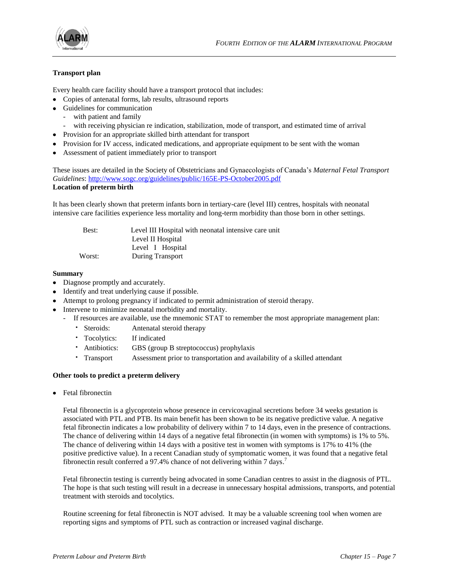

## **Transport plan**

Every health care facility should have a transport protocol that includes:

- Copies of antenatal forms, lab results, ultrasound reports
- Guidelines for communication
	- with patient and family
	- with receiving physician re indication, stabilization, mode of transport, and estimated time of arrival
- Provision for an appropriate skilled birth attendant for transport
- Provision for IV access, indicated medications, and appropriate equipment to be sent with the woman
- Assessment of patient immediately prior to transport

These issues are detailed in the Society of Obstetricians and Gynaecologists of Canada's *Maternal Fetal Transport Guidelines*: <http://www.sogc.org/guidelines/public/165E-PS-October2005.pdf> **Location of preterm birth**

It has been clearly shown that preterm infants born in tertiary-care (level III) centres, hospitals with neonatal intensive care facilities experience less mortality and long-term morbidity than those born in other settings.

| Best:  | Level III Hospital with neonatal intensive care unit |
|--------|------------------------------------------------------|
|        | Level II Hospital                                    |
|        | Level I Hospital                                     |
| Worst: | During Transport                                     |

#### **Summary**

- Diagnose promptly and accurately.
- Identify and treat underlying cause if possible.
- Attempt to prolong pregnancy if indicated to permit administration of steroid therapy.
- Intervene to minimize neonatal morbidity and mortality.
	- If resources are available, use the mnemonic STAT to remember the most appropriate management plan:
		- · Steroids: Antenatal steroid therapy
		- · Tocolytics: If indicated
		- · Antibiotics: GBS (group B streptococcus) prophylaxis
		- · Transport Assessment prior to transportation and availability of a skilled attendant

#### **Other tools to predict a preterm delivery**

• Fetal fibronectin

Fetal fibronectin is a glycoprotein whose presence in cervicovaginal secretions before 34 weeks gestation is associated with PTL and PTB. Its main benefit has been shown to be its negative predictive value. A negative fetal fibronectin indicates a low probability of delivery within 7 to 14 days, even in the presence of contractions. The chance of delivering within 14 days of a negative fetal fibronectin (in women with symptoms) is 1% to 5%. The chance of delivering within 14 days with a positive test in women with symptoms is 17% to 41% (the positive predictive value). In a recent Canadian study of symptomatic women, it was found that a negative fetal fibronectin result conferred a 97.4% chance of not delivering within 7 days. 7

Fetal fibronectin testing is currently being advocated in some Canadian centres to assist in the diagnosis of PTL. The hope is that such testing will result in a decrease in unnecessary hospital admissions, transports, and potential treatment with steroids and tocolytics.

Routine screening for fetal fibronectin is NOT advised. It may be a valuable screening tool when women are reporting signs and symptoms of PTL such as contraction or increased vaginal discharge.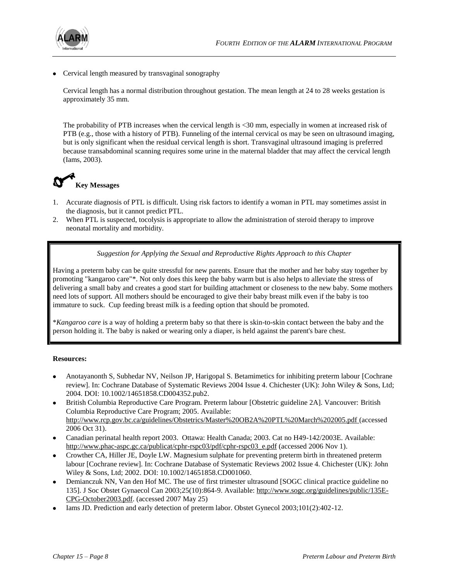

• Cervical length measured by transvaginal sonography

Cervical length has a normal distribution throughout gestation. The mean length at 24 to 28 weeks gestation is approximately 35 mm.

The probability of PTB increases when the cervical length is <30 mm, especially in women at increased risk of PTB (e.g., those with a history of PTB). Funneling of the internal cervical os may be seen on ultrasound imaging, but is only significant when the residual cervical length is short. Transvaginal ultrasound imaging is preferred because transabdominal scanning requires some urine in the maternal bladder that may affect the cervical length (Iams, 2003).



- 1. Accurate diagnosis of PTL is difficult. Using risk factors to identify a woman in PTL may sometimes assist in the diagnosis, but it cannot predict PTL.
- 2. When PTL is suspected, tocolysis is appropriate to allow the administration of steroid therapy to improve neonatal mortality and morbidity.

*Suggestion for Applying the Sexual and Reproductive Rights Approach to this Chapter*

Having a preterm baby can be quite stressful for new parents. Ensure that the mother and her baby stay together by promoting "kangaroo care"\*. Not only does this keep the baby warm but is also helps to alleviate the stress of delivering a small baby and creates a good start for building attachment or closeness to the new baby. Some mothers need lots of support. All mothers should be encouraged to give their baby breast milk even if the baby is too immature to suck. Cup feeding breast milk is a feeding option that should be promoted.

\**Kangaroo care* is a way of holding a preterm baby so that there is skin-to-skin contact between the baby and the person holding it. The baby is naked or wearing only a diaper, is held against the parent's bare chest.

## **Resources:**

- Anotayanonth S, Subhedar NV, Neilson JP, Harigopal S. Betamimetics for inhibiting preterm labour [Cochrane review]. In: Cochrane Database of Systematic Reviews 2004 Issue 4. Chichester (UK): John Wiley & Sons, Ltd; 2004. DOI: 10.1002/14651858.CD004352.pub2.
- British Columbia Reproductive Care Program. Preterm labour [Obstetric guideline 2A]. Vancouver: British Columbia Reproductive Care Program; 2005. Available: <http://www.rcp.gov.bc.ca/guidelines/Obstetrics/Master%20OB2A%20PTL%20March%202005.pdf> (accessed 2006 Oct 31).
- Canadian perinatal health report 2003. Ottawa: Health Canada; 2003. Cat no H49-142/2003E. Available: [http://www.phac-aspc.gc.ca/publicat/cphr-rspc03/pdf/cphr-rspc03\\_e.pdf](http://www.phac-aspc.gc.ca/publicat/cphr-rspc03/pdf/cphr-rspc03_e.pdf) (accessed 2006 Nov 1).
- Crowther CA, Hiller JE, Doyle LW. Magnesium sulphate for preventing preterm birth in threatened preterm labour [Cochrane review]. In: Cochrane Database of Systematic Reviews 2002 Issue 4. Chichester (UK): John Wiley & Sons, Ltd; 2002. DOI: 10.1002/14651858.CD001060.
- Demianczuk NN, Van den Hof MC. The use of first trimester ultrasound [SOGC clinical practice guideline no 135]. J Soc Obstet Gynaecol Can 2003;25(10):864-9. Available: [http://www.sogc.org/guidelines/public/135E-](http://www.sogc.org/guidelines/public/135E-CPG-October2003.pdf)[CPG-October2003.pdf.](http://www.sogc.org/guidelines/public/135E-CPG-October2003.pdf) (accessed 2007 May 25)
- Iams JD. Prediction and early detection of preterm labor. Obstet Gynecol 2003;101(2):402-12.